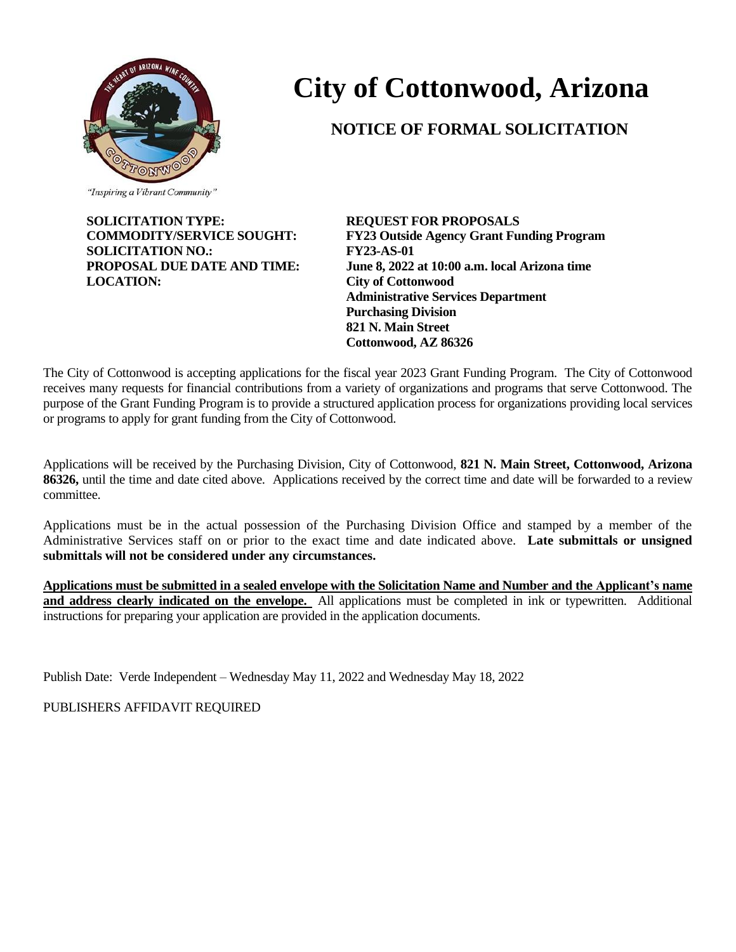

# **City of Cottonwood, Arizona**

## **NOTICE OF FORMAL SOLICITATION**

"Inspiring a Vibrant Community"

**SOLICITATION TYPE: REQUEST FOR PROPOSALS SOLICITATION NO.: FY23-AS-01 LOCATION: City of Cottonwood**

**COMMODITY/SERVICE SOUGHT: FY23 Outside Agency Grant Funding Program PROPOSAL DUE DATE AND TIME: June 8, 2022 at 10:00 a.m. local Arizona time Administrative Services Department Purchasing Division 821 N. Main Street Cottonwood, AZ 86326**

The City of Cottonwood is accepting applications for the fiscal year 2023 Grant Funding Program. The City of Cottonwood receives many requests for financial contributions from a variety of organizations and programs that serve Cottonwood. The purpose of the Grant Funding Program is to provide a structured application process for organizations providing local services or programs to apply for grant funding from the City of Cottonwood.

Applications will be received by the Purchasing Division, City of Cottonwood, **821 N. Main Street, Cottonwood, Arizona 86326,** until the time and date cited above. Applications received by the correct time and date will be forwarded to a review committee.

Applications must be in the actual possession of the Purchasing Division Office and stamped by a member of the Administrative Services staff on or prior to the exact time and date indicated above. **Late submittals or unsigned submittals will not be considered under any circumstances.**

**Applications must be submitted in a sealed envelope with the Solicitation Name and Number and the Applicant's name**  and address clearly indicated on the envelope. All applications must be completed in ink or typewritten. Additional instructions for preparing your application are provided in the application documents.

Publish Date: Verde Independent – Wednesday May 11, 2022 and Wednesday May 18, 2022

PUBLISHERS AFFIDAVIT REQUIRED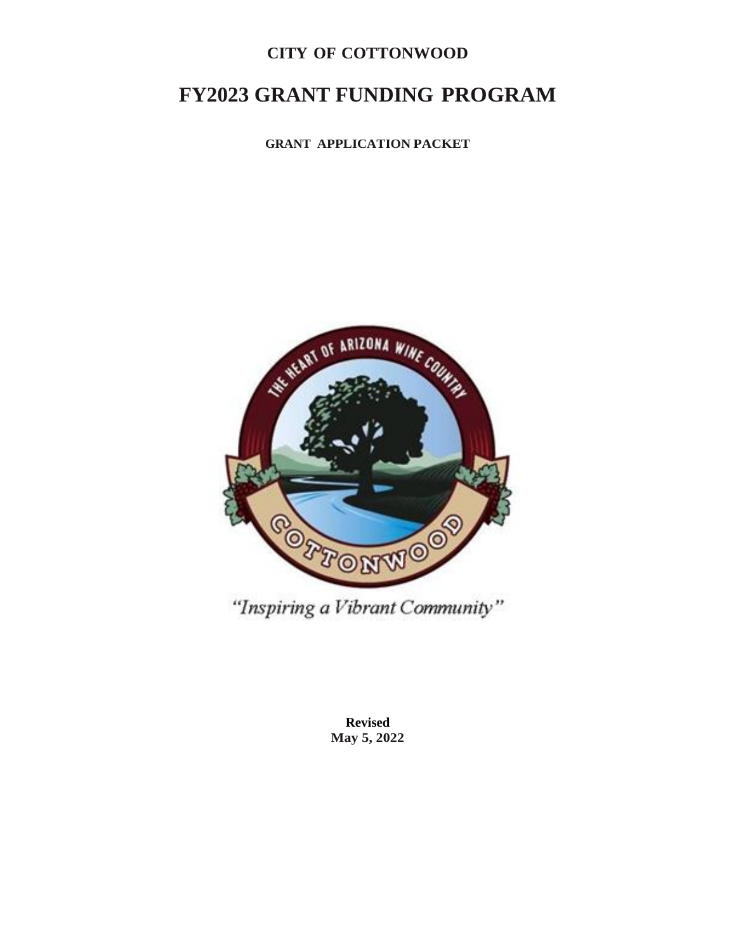### **CITY OF COTTONWOOD**

## **FY2023 GRANT FUNDING PROGRAM**

**GRANT APPLICATION PACKET**



"Inspiring a Vibrant Community"

**Revised May 5, 2022**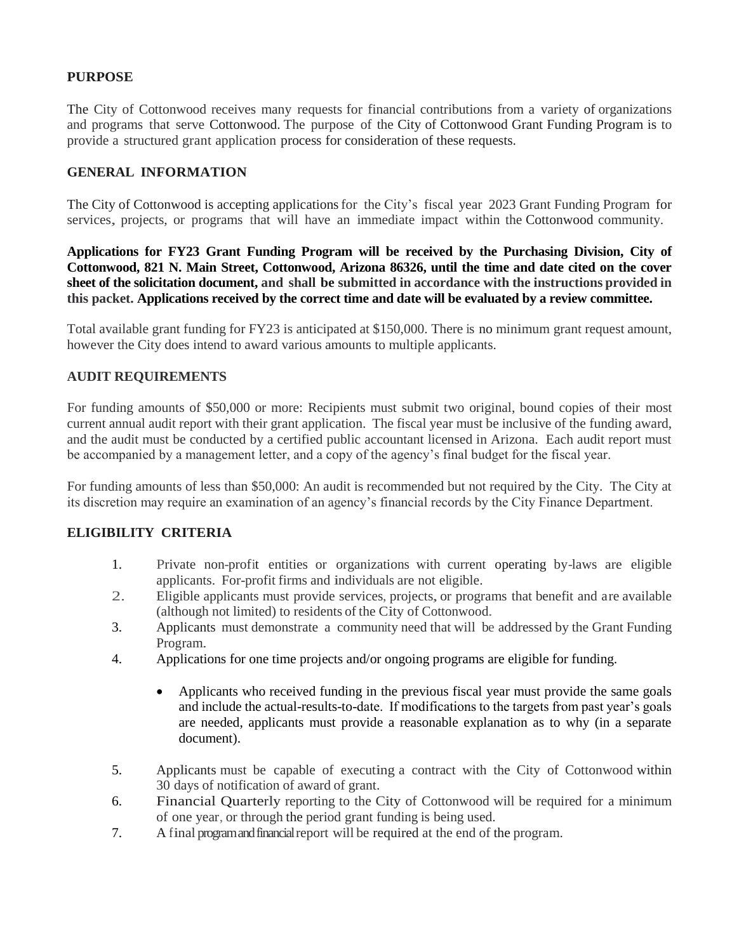#### **PURPOSE**

The City of Cottonwood receives many requests for financial contributions from a variety of organizations and programs that serve Cottonwood. The purpose of the City of Cottonwood Grant Funding Program is to provide a structured grant application process for consideration of these requests.

#### **GENERAL INFORMATION**

The City of Cottonwood is accepting applicationsfor the City's fiscal year 2023 Grant Funding Program for services, projects, or programs that will have an immediate impact within the Cottonwood community.

**Applications for FY23 Grant Funding Program will be received by the Purchasing Division, City of Cottonwood, 821 N. Main Street, Cottonwood, Arizona 86326, until the time and date cited on the cover sheet of the solicitation document, and shall be submitted in accordance with the instructions provided in this packet. Applications received by the correct time and date will be evaluated by a review committee.**

Total available grant funding for FY23 is anticipated at \$150,000. There is no minimum grant request amount, however the City does intend to award various amounts to multiple applicants.

#### **AUDIT REQUIREMENTS**

For funding amounts of \$50,000 or more: Recipients must submit two original, bound copies of their most current annual audit report with their grant application. The fiscal year must be inclusive of the funding award, and the audit must be conducted by a certified public accountant licensed in Arizona. Each audit report must be accompanied by a management letter, and a copy of the agency's final budget for the fiscal year.

For funding amounts of less than \$50,000: An audit is recommended but not required by the City. The City at its discretion may require an examination of an agency's financial records by the City Finance Department.

#### **ELIGIBILITY CRITERIA**

- 1. Private non-profit entities or organizations with current operating by-laws are eligible applicants. For-profit firms and individuals are not eligible.
- 2. Eligible applicants must provide services, projects, or programs that benefit and are available (although not limited) to residents of the City of Cottonwood.
- 3. Applicants must demonstrate a community need that will be addressed by the Grant Funding Program.
- 4. Applications for one time projects and/or ongoing programs are eligible for funding.
	- Applicants who received funding in the previous fiscal year must provide the same goals and include the actual-results-to-date. If modifications to the targets from past year's goals are needed, applicants must provide a reasonable explanation as to why (in a separate document).
- 5. Applicants must be capable of executing <sup>a</sup> contract with the City of Cottonwood within 30 days of notification of award of grant.
- 6. Financial Quarterly reporting to the City of Cottonwood will be required for <sup>a</sup> minimum of one year, or through the period grant funding is being used.
- 7. <sup>A</sup> final program and financial report will be required at the end of the program.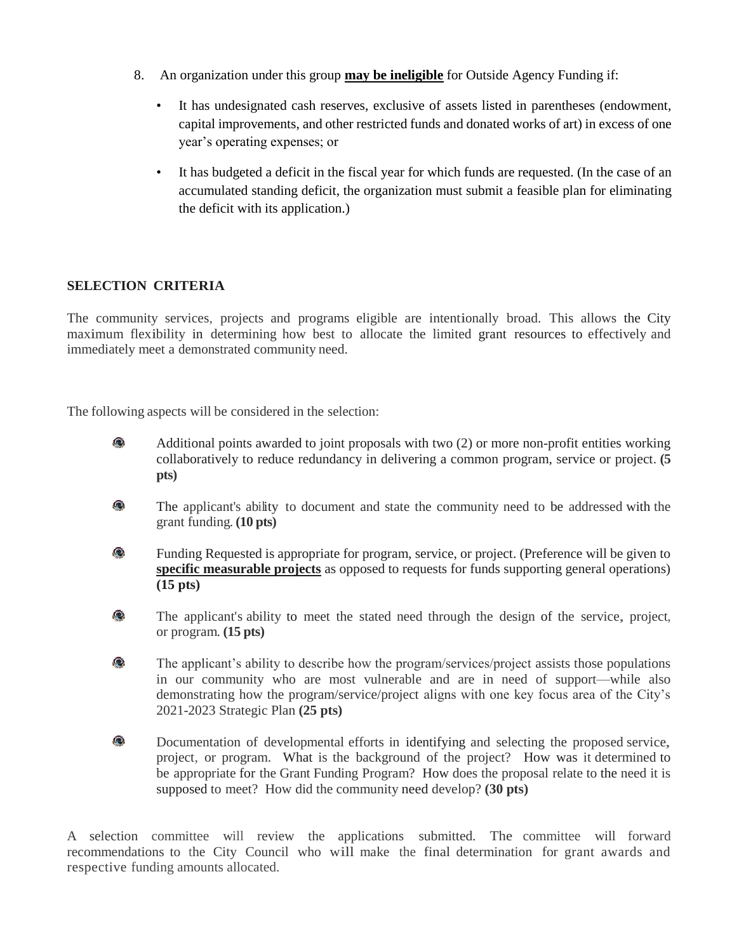- 8. An organization under this group **may be ineligible** for Outside Agency Funding if:
	- It has undesignated cash reserves, exclusive of assets listed in parentheses (endowment, capital improvements, and other restricted funds and donated works of art) in excess of one year's operating expenses; or
	- It has budgeted a deficit in the fiscal year for which funds are requested. (In the case of an accumulated standing deficit, the organization must submit a feasible plan for eliminating the deficit with its application.)

#### **SELECTION CRITERIA**

The community services, projects and programs eligible are intentionally broad. This allows the City maximum flexibility in determining how best to allocate the limited grant resources to effectively and immediately meet a demonstrated community need.

The following aspects will be considered in the selection:

- $\bullet$ Additional points awarded to joint proposals with two (2) or more non-profit entities working collaboratively to reduce redundancy in delivering a common program, service or project. **(5 pts)**
- $\bullet$ The applicant's ability to document and state the community need to be addressed with the grant funding. **(10 pts)**
- $\bullet$ Funding Requested is appropriate for program, service, or project. (Preference will be given to **specific measurable projects** as opposed to requests for funds supporting general operations) **(15 pts)**
- $\bullet$ The applicant's ability to meet the stated need through the design of the service, project, or program. **(15 pts)**
- $\bullet$ The applicant's ability to describe how the program/services/project assists those populations in our community who are most vulnerable and are in need of support—while also demonstrating how the program/service/project aligns with one key focus area of the City's 2021-2023 Strategic Plan **(25 pts)**
- $\bullet$ Documentation of developmental efforts in identifying and selecting the proposed service, project, or program. What is the background of the project? How was it determined to be appropriate for the Grant Funding Program? How does the proposal relate to the need it is supposed to meet? How did the community need develop? **(30 pts)**

A selection committee will review the applications submitted. The committee will forward recommendations to the City Council who will make the final determination for grant awards and respective funding amounts allocated.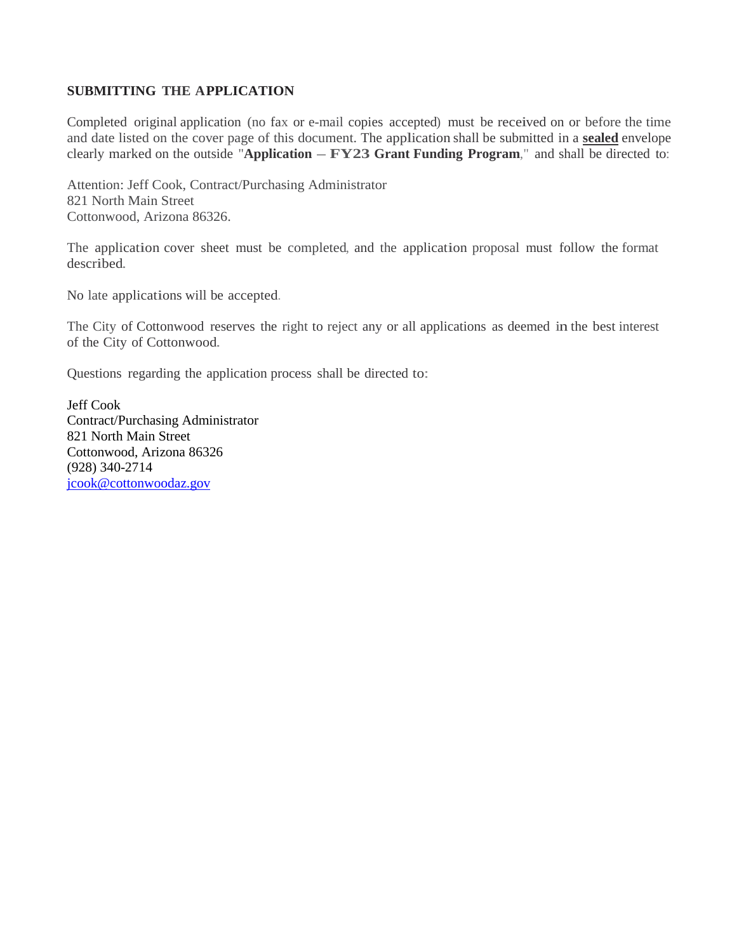#### **SUBMITTING THE APPLICATION**

Completed original application (no fax or e-mail copies accepted) must be received on or before the time and date listed on the cover page of this document. The application shall be submitted in a **sealed** envelope clearly marked on the outside "**Application – FY23 Grant Funding Program**," and shall be directed to:

Attention: Jeff Cook, Contract/Purchasing Administrator 821 North Main Street Cottonwood, Arizona 86326.

The application cover sheet must be completed, and the application proposal must follow the format described.

No late applications will be accepted.

The City of Cottonwood reserves the right to reject any or all applications as deemed in the best interest of the City of Cottonwood.

Questions regarding the application process shall be directed to:

Jeff Cook Contract/Purchasing Administrator 821 North Main Street Cottonwood, Arizona 86326 (928) 340-2714 [jcook@cottonwoodaz.gov](mailto:jcook@cottonwoodaz.gov)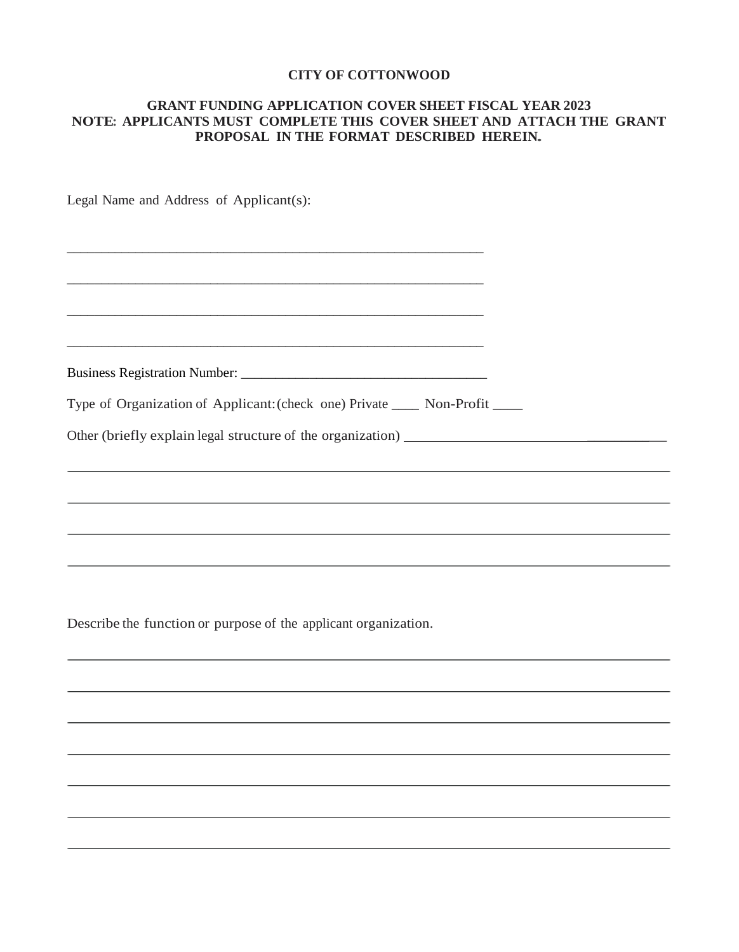#### **CITY OF COTTONWOOD**

#### **GRANT FUNDING APPLICATION COVER SHEET FISCAL YEAR 2023 NOTE: APPLICANTS MUST COMPLETE THIS COVER SHEET AND ATTACH THE GRANT PROPOSAL IN THE FORMAT DESCRIBED HEREIN.**

Legal Name and Address of Applicant(s):

| Business Registration Number: |  |
|-------------------------------|--|

Type of Organization of Applicant:(check one) Private \_\_\_\_ Non-Profit \_\_\_\_

\_\_\_\_\_\_\_\_\_\_\_\_\_\_\_\_\_\_\_\_\_\_\_\_\_\_\_\_\_\_\_\_\_\_\_\_\_\_\_\_\_\_\_\_\_\_\_\_\_\_\_\_\_\_\_\_\_\_\_\_\_

\_\_\_\_\_\_\_\_\_\_\_\_\_\_\_\_\_\_\_\_\_\_\_\_\_\_\_\_\_\_\_\_\_\_\_\_\_\_\_\_\_\_\_\_\_\_\_\_\_\_\_\_\_\_\_\_\_\_\_\_\_

\_\_\_\_\_\_\_\_\_\_\_\_\_\_\_\_\_\_\_\_\_\_\_\_\_\_\_\_\_\_\_\_\_\_\_\_\_\_\_\_\_\_\_\_\_\_\_\_\_\_\_\_\_\_\_\_\_\_\_\_\_

Other (briefly explain legal structure of the organization) \_\_\_\_\_\_\_\_\_\_

Describe the function or purpose of the applicant organization.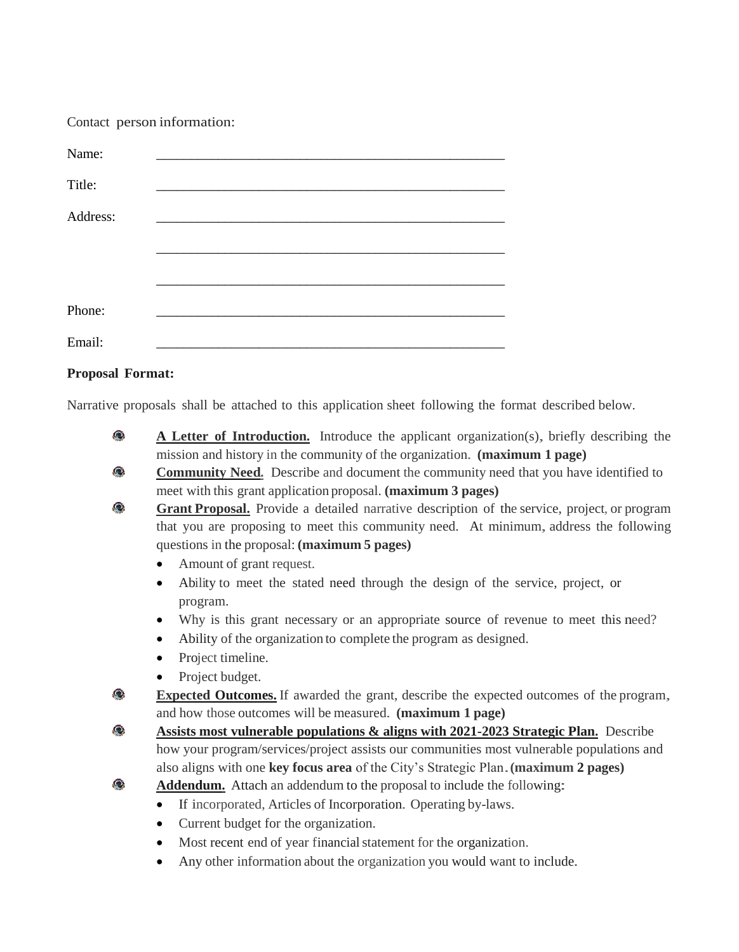Contact person information:

| Name:    |  |
|----------|--|
| Title:   |  |
| Address: |  |
|          |  |
|          |  |
|          |  |
| Phone:   |  |
| Email:   |  |

#### **Proposal Format:**

Narrative proposals shall be attached to this application sheet following the format described below.

- Q **<sup>A</sup> Letter of Introduction.** Introduce the applicant organization(s), briefly describing the mission and history in the community of the organization. **(maximum 1 page)**
- $\bullet$ **Community Need.** Describe and document the community need that you have identified to meet with this grant application proposal. **(maximum 3 pages)**
- $\bullet$ **Grant Proposal.** Provide a detailed narrative description of the service, project, or program that you are proposing to meet this community need. At minimum, address the following questions in the proposal: **(maximum 5 pages)**
	- Amount of grant request.
	- Ability to meet the stated need through the design of the service, project, or program.
	- Why is this grant necessary or an appropriate source of revenue to meet this need?
	- Ability of the organization to complete the program as designed.
	- Project timeline.
	- Project budget.
- $\bullet$ **Expected Outcomes.** If awarded the grant, describe the expected outcomes of the program, and how those outcomes will be measured. **(maximum 1 page)**

 $\bullet$ **Assists most vulnerable populations & aligns with 2021-2023 Strategic Plan.** Describe how your program/services/project assists our communities most vulnerable populations and also aligns with one **key focus area** of the City's Strategic Plan.**(maximum <sup>2</sup> pages)**

- Q **Addendum.** Attach an addendum to the proposal to include the following:
	- If incorporated, Articles of Incorporation. Operating by-laws.
	- Current budget for the organization.
	- Most recent end of year financial statement for the organization.
	- Any other information about the organization you would want to include.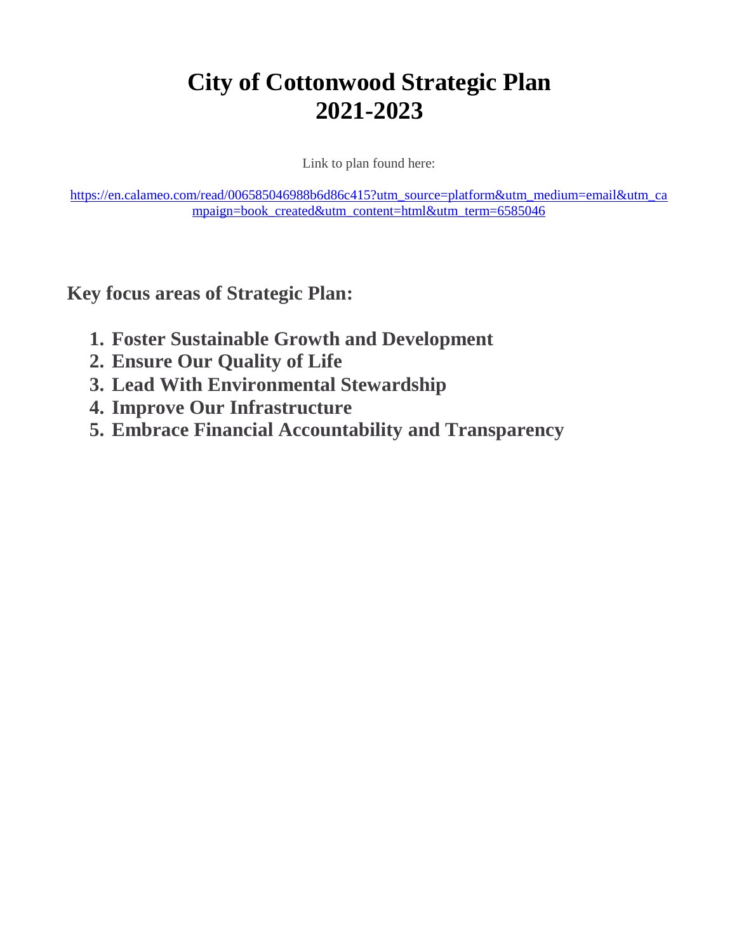## **City of Cottonwood Strategic Plan 2021-2023**

Link to plan found here:

[https://en.calameo.com/read/006585046988b6d86c415?utm\\_source=platform&utm\\_medium=email&utm\\_ca](https://en.calameo.com/read/006585046988b6d86c415?utm_source=platform&utm_medium=email&utm_campaign=book_created&utm_content=html&utm_term=6585046) [mpaign=book\\_created&utm\\_content=html&utm\\_term=6585046](https://en.calameo.com/read/006585046988b6d86c415?utm_source=platform&utm_medium=email&utm_campaign=book_created&utm_content=html&utm_term=6585046)

**Key focus areas of Strategic Plan:**

- **1. Foster Sustainable Growth and Development**
- **2. Ensure Our Quality of Life**
- **3. Lead With Environmental Stewardship**
- **4. Improve Our Infrastructure**
- **5. Embrace Financial Accountability and Transparency**